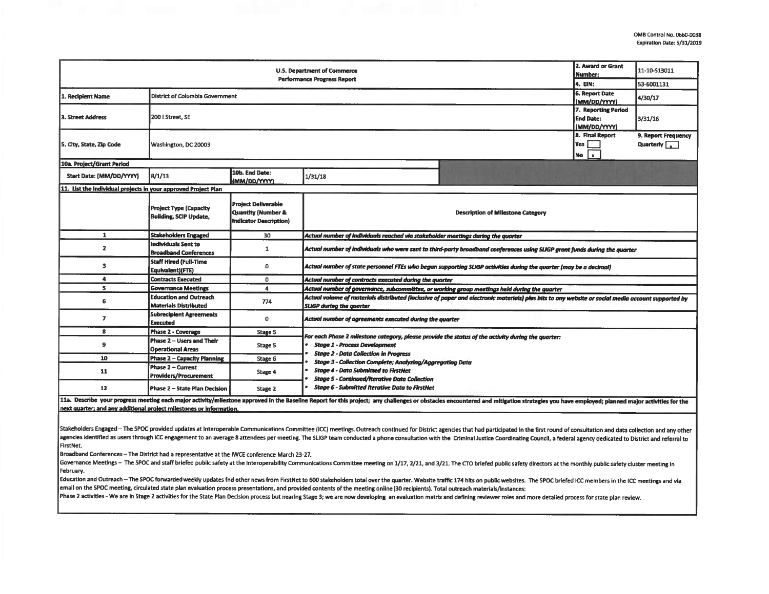| U.S. Department of Commerce                                    |                                                                |                                                                                   |                                                                                                                                                                                                                                                                                                                                                                                                                                                                                                                                                                                                                                                           |                                    | 2. Award or Grant<br>Number:                            | 11-10-S13011 |  |  |  |
|----------------------------------------------------------------|----------------------------------------------------------------|-----------------------------------------------------------------------------------|-----------------------------------------------------------------------------------------------------------------------------------------------------------------------------------------------------------------------------------------------------------------------------------------------------------------------------------------------------------------------------------------------------------------------------------------------------------------------------------------------------------------------------------------------------------------------------------------------------------------------------------------------------------|------------------------------------|---------------------------------------------------------|--------------|--|--|--|
| <b>Performance Progress Report</b>                             |                                                                |                                                                                   |                                                                                                                                                                                                                                                                                                                                                                                                                                                                                                                                                                                                                                                           |                                    |                                                         | 53-6001131   |  |  |  |
| 1. Recipient Name                                              | District of Columbia Government                                | <b>6. Report Date</b><br>(MM/DD/YYYY)                                             | 4/30/17                                                                                                                                                                                                                                                                                                                                                                                                                                                                                                                                                                                                                                                   |                                    |                                                         |              |  |  |  |
| 3. Street Address                                              | 200   Street, SE                                               |                                                                                   |                                                                                                                                                                                                                                                                                                                                                                                                                                                                                                                                                                                                                                                           |                                    | 7. Reporting Period<br><b>End Date:</b><br>(MM/DD/YYYY) | 3/31/16      |  |  |  |
| 5. City, State, Zip Code                                       | Washington, DC 20003                                           |                                                                                   |                                                                                                                                                                                                                                                                                                                                                                                                                                                                                                                                                                                                                                                           | 8. Final Report<br>Yes  <br>No $x$ | 9. Report Frequency<br>Quarterly $\sqrt{x}$             |              |  |  |  |
| 10a. Project/Grant Period                                      |                                                                |                                                                                   |                                                                                                                                                                                                                                                                                                                                                                                                                                                                                                                                                                                                                                                           |                                    |                                                         |              |  |  |  |
| Start Date: (MM/DD/YYYY)                                       | 10b. End Date:<br>8/1/13<br>1/31/18<br>(MM/DD/YYYY)            |                                                                                   |                                                                                                                                                                                                                                                                                                                                                                                                                                                                                                                                                                                                                                                           |                                    |                                                         |              |  |  |  |
| 11. List the individual projects in your approved Project Plan |                                                                |                                                                                   |                                                                                                                                                                                                                                                                                                                                                                                                                                                                                                                                                                                                                                                           |                                    |                                                         |              |  |  |  |
|                                                                | <b>Project Type (Capacity</b><br><b>Building, SCIP Update,</b> | <b>Project Deliverable</b><br>Quantity (Number &<br><b>Indicator Description)</b> | <b>Description of Milestone Category</b>                                                                                                                                                                                                                                                                                                                                                                                                                                                                                                                                                                                                                  |                                    |                                                         |              |  |  |  |
| 1                                                              | <b>Stakeholders Engaged</b>                                    | 30                                                                                | Actual number of individuals reached via stakeholder meetings during the quarter                                                                                                                                                                                                                                                                                                                                                                                                                                                                                                                                                                          |                                    |                                                         |              |  |  |  |
| $\overline{\mathbf{z}}$                                        | Individuals Sent to<br><b>Broadband Conferences</b>            | 1                                                                                 | Actual number of individuals who were sent to third-party broadband conferences using SLIGP grant funds during the quarter                                                                                                                                                                                                                                                                                                                                                                                                                                                                                                                                |                                    |                                                         |              |  |  |  |
| з                                                              | <b>Staff Hired (Full-Time</b><br>Equivalent)(FTE)              | 0                                                                                 | Actual number of state personnel FTEs who began supporting SLIGP activities during the quarter (may be a decimal)                                                                                                                                                                                                                                                                                                                                                                                                                                                                                                                                         |                                    |                                                         |              |  |  |  |
| 4                                                              | <b>Contracts Executed</b>                                      | 0                                                                                 | Actual number of contracts executed during the quarter                                                                                                                                                                                                                                                                                                                                                                                                                                                                                                                                                                                                    |                                    |                                                         |              |  |  |  |
| 5                                                              | <b>Governance Meetings</b>                                     | 4                                                                                 | Actual number of governance, subcommittee, or working group meetings held during the quarter                                                                                                                                                                                                                                                                                                                                                                                                                                                                                                                                                              |                                    |                                                         |              |  |  |  |
| 6                                                              | <b>Education and Outreach</b><br>Materials Distributed         | 774                                                                               | Actual volume of materials distributed (inclusive of paper and electronic materials) plus hits to any website or social media account supported by<br><b>SLIGP during the quarter</b>                                                                                                                                                                                                                                                                                                                                                                                                                                                                     |                                    |                                                         |              |  |  |  |
| 7                                                              | <b>Subrecipient Agreements</b><br>Executed                     | 0                                                                                 | Actual number of agreements executed during the quarter                                                                                                                                                                                                                                                                                                                                                                                                                                                                                                                                                                                                   |                                    |                                                         |              |  |  |  |
| 8                                                              | Phase 2 - Coverage                                             | Stage 5                                                                           |                                                                                                                                                                                                                                                                                                                                                                                                                                                                                                                                                                                                                                                           |                                    |                                                         |              |  |  |  |
| 9                                                              | Phase 2 - Users and Their<br><b>Operational Areas</b>          | Stage 5                                                                           | For each Phase 2 milestone category, please provide the status of the activity during the quarter:<br><b>Stage 1 - Process Development</b><br><b>Stage 2 - Data Collection in Progress</b><br>Stage 3 - Collection Complete; Analyzing/Aggregating Data<br><b>Stage 4 - Data Submitted to FirstNet</b><br><b>Stage 5 - Continued/Iterative Data Collection</b><br><b>Stage 6 - Submitted Iterative Data to FirstNet</b><br>11a. Describe your progress meeting each major activity/milestone announced in the Baseline Report for this project: any challenges or obstacles encountered and mitigation statements way bounded planned mains activities fo |                                    |                                                         |              |  |  |  |
| 10                                                             | <b>Phase 2 - Capacity Planning</b>                             | Stage 6                                                                           |                                                                                                                                                                                                                                                                                                                                                                                                                                                                                                                                                                                                                                                           |                                    |                                                         |              |  |  |  |
| 11                                                             | <b>Phase 2 - Current</b><br><b>Providers/Procurement</b>       | Stage 4                                                                           |                                                                                                                                                                                                                                                                                                                                                                                                                                                                                                                                                                                                                                                           |                                    |                                                         |              |  |  |  |
| 12                                                             | Phase 2 – State Plan Decision                                  | Stage 2                                                                           |                                                                                                                                                                                                                                                                                                                                                                                                                                                                                                                                                                                                                                                           |                                    |                                                         |              |  |  |  |

ie keport for this project; any challenges or obsta next quarter; and any additional project milestones or information.

Stakeholders Engaged - The SPOC provided updates at Interoperable Communications Committee (ICC) meetings. Outreach continued for District agencies that had participated in the first round of consultation and data collecti agencies identified as users through ICC engagement to an average 8 attendees per meeting. The SLIGP team conducted a phone consultation with the Criminal Justice Coordinating Council, a federal agency dedicated to Distric FirstNet.

Broadband Conferences - The District had a representative at the IWCE conference March 23-27.

Governance Meetings - The SPOC and staff briefed public safety at the Interoperability Communications Committee meeting on 1/17, 2/21, and 3/21. The CTO briefed public safety directors at the monthiy public safety cluster February.

Education and Outreach – The SPOC forwarded weekly updates fnd other news from FirstNet to 600 stakeholders total over the quarter. Website traffic 174 hits on public websites. The SPOC briefed ICC members in the ICC meeti email on the SPOC meeting, circulated state plan evaluation process presentations, and provided contents of the meeting online (30 recipients). Total outreach materials/instances:

Phase 2 activities - We are in Stage 2 activities for the State Plan Decision process but nearing Stage 3; we are now developing an evaluation matrix and defining reviewer roles and more detailed process for state plan rev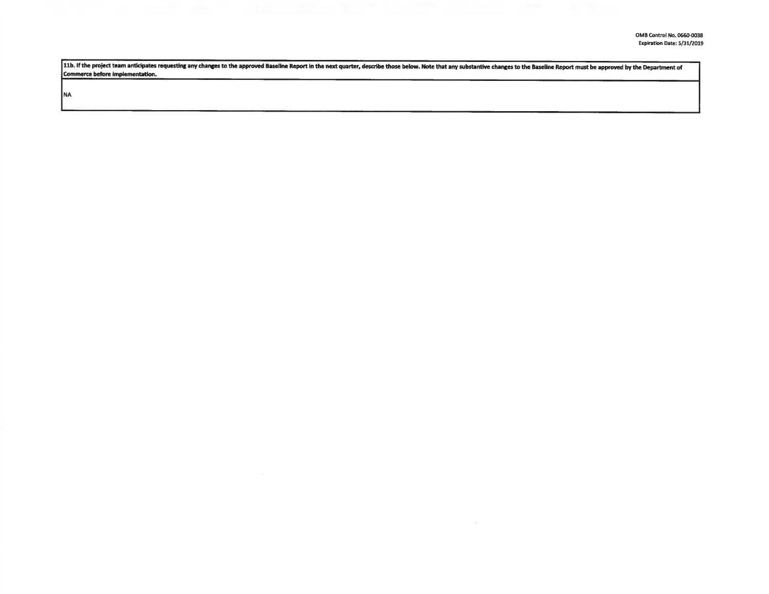11b. If the project team anticipates requesting any changes to the approved Baseline Report in the next quarter, describe those below. Note that any substantive changes to the Baseline Report must be approved by the Depart Commerce before Implementation.

**NA**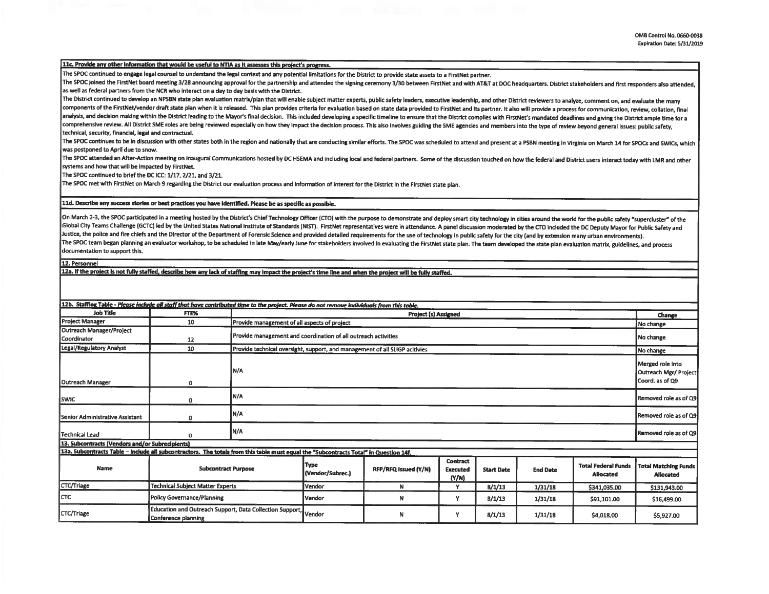## 11c. Provide any other information that would be useful to NTIA as it assesses this project's progress.

The SPOC continued to engage legal counsel to understand the lepl context and any potential llmltatlons for the District to provide state assets to a FlrstNet partner.

The SPOC joined the FirstNet board meeting 3/28 announcing approval for the partnership and attended the signing ceremony 3/30 between FirstNet and with AT&T at DOC headquarters. District stakeholders and first responders as well as federal partners from the NCR who Interact on a day to day basis with the District.

The District continued to develop an NPSBN state plan evaluation matrix/plan that will enable subject matter experts, public safety leaders, executive leadership, and other District reviewers to analyze, comment on, and ev components of the FirstNet/vendor draft state plan when it is released. This plan provides criteria for evaluation based on state data provided to FirstNet and its partner. It also will provide a process for communication, analysis, and decision making within the District leading to the Mayor's final decision. This included developing a specific timeline to ensure that the District complies with FirstNet's mandated deadlines and giving the D comprehensive review. All District SME roles are being reviewed especially on how they impact the decision process. This also involves guiding the SME agencies and members into the type of review beyond general issues: pub technical, security, financial, legal and contractual.

The SPOC continues to be in discussion with other states both in the region and nationally that are conducting similar efforts. The SPOC was scheduled to attend and present at a PSBN meeting in Virginia on March 14 for SPO was postponed to April due to snow.

The SPOC attended an After-Action meeting on inaugural Communications hosted by DC HSEMA and including local and federal partners. Some of the discussion touched on how the federal and District users interact today with LM systems and how that will be Impacted by FlrstNet.

The SPOC continued to brief the DC ICC: 1/17, 2/21, and 3/21.

The SPOC met with FlrstNet on March 9 regarding the District our evaluation process and Information of Interest for the District In the FlrstNet state plan.

## lld. **Describe any suaess stories or best practices you have** Identified. **Please be as specific as possible.**

On March 2-3, the SPOC participated in a meeting hosted by the District's Chief Technology Officer (CTO) with the purpose to demonstrate and deploy smart city technology in cities around the world for the public safety "su Global City Teams Challenge (GCTC) led by the United States National Institute of Standards (NIST). FirstNet representatives were in attendance. A panel discussion moderated by the CTO included the DC Deputy Mayor for Publ Justice, the police and fire chiefs and the Director of the Department of Forensic Science and provided detailed requirements for the use of technology in public safety for the city (and by extension many urban environment The SPOC team began planning an evaluator workshop, to be scheduled in late May/early June for stakeholders involved in evaluating the FirstNet state plan. The team developed the state plan evaluation matrix, guidelines, a documentation to support this.

12. Personnel

12a. If the project is not fully staffed, describe how any lack of staffing may impact the project's time line and when the project will be fully staffed.

| 12b. Staffing Table - Please include all staff that have contributed time to the project. Please do not remove individuals from this table. |                                                                                        |                                                                             |                                                                |                      |                                             |                   |                 |                                                |                                                              |
|---------------------------------------------------------------------------------------------------------------------------------------------|----------------------------------------------------------------------------------------|-----------------------------------------------------------------------------|----------------------------------------------------------------|----------------------|---------------------------------------------|-------------------|-----------------|------------------------------------------------|--------------------------------------------------------------|
| Job Title                                                                                                                                   | <b>FTE%</b>                                                                            |                                                                             | Project (s) Assigned                                           |                      |                                             |                   |                 |                                                | Change                                                       |
| Project Manager                                                                                                                             | 10                                                                                     |                                                                             | Provide management of all aspects of project                   |                      |                                             |                   |                 |                                                | No change                                                    |
| Outreach Manager/Project<br>Coordinator                                                                                                     | 12                                                                                     |                                                                             | Provide management and coordination of all outreach activities |                      |                                             |                   |                 |                                                |                                                              |
| Legal/Regulatory Analyst                                                                                                                    | 10                                                                                     | Provide technical oversight, support, and management of all SLIGP acitivies |                                                                |                      |                                             |                   |                 |                                                | No change                                                    |
| <b>Outreach Manager</b>                                                                                                                     | 0                                                                                      | IN/A                                                                        |                                                                |                      |                                             |                   |                 |                                                | Merged role into<br>Outreach Mgr/ Project<br>Coord. as of Q9 |
| <b>SWIC</b>                                                                                                                                 | 0                                                                                      | N/A                                                                         |                                                                |                      |                                             |                   |                 |                                                | Removed role as of Q9                                        |
| <b>Senior Administrative Assistant</b>                                                                                                      | 0                                                                                      | N/A                                                                         | Removed role as of Q9                                          |                      |                                             |                   |                 |                                                |                                                              |
| Technical Lead                                                                                                                              |                                                                                        | N/A                                                                         |                                                                |                      |                                             |                   |                 | Removed role as of Q9                          |                                                              |
| 13. Subcontracts (Vendors and/or Subrecipients)                                                                                             |                                                                                        |                                                                             |                                                                |                      |                                             |                   |                 |                                                |                                                              |
| 13a. Subcontracts Table - Include all subcontractors. The totals from this table must equal the "Subcontracts Total" in Question 14f.       |                                                                                        |                                                                             |                                                                |                      |                                             |                   |                 |                                                |                                                              |
| Name                                                                                                                                        | <b>Subcontract Purpose</b>                                                             |                                                                             | <b>Type</b><br>(Vendor/Subrec.)                                | RFP/RFQ Issued (Y/N) | <b>Contract</b><br><b>Executed</b><br>(N/N) | <b>Start Date</b> | <b>End Date</b> | <b>Total Federal Funds</b><br><b>Allocated</b> | <b>Total Matching Funds</b><br><b>Allocated</b>              |
| CTC/Triage                                                                                                                                  | <b>Technical Subject Matter Experts</b>                                                |                                                                             | Vendor                                                         | N                    | ٧                                           | 8/1/13            | 1/31/18         | \$341,035.00                                   | \$131,943.00                                                 |
| Iстс                                                                                                                                        | <b>Policy Governance/Planning</b>                                                      |                                                                             | Vendor                                                         | N                    | Y                                           | 8/1/13            | 1/31/18         | \$91,101.00                                    | \$16,499.00                                                  |
| CTC/Triage                                                                                                                                  | Education and Outreach Support, Data Collection Support, Vendor<br>Conference planning |                                                                             |                                                                | N                    | Y                                           | 8/1/13            | 1/31/18         | \$4,018.00                                     | \$5,927.00                                                   |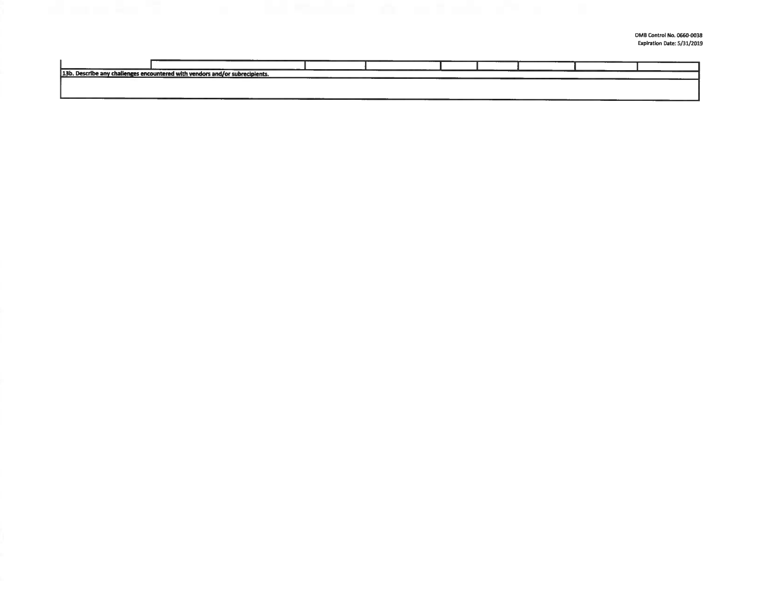0MB Control **No. 0660-0038**  Expiration Date: 5/31/2019

| 13b. Describe any challenges encountered with vendors and/or subrecipients. |  |  |  |  |
|-----------------------------------------------------------------------------|--|--|--|--|
|                                                                             |  |  |  |  |
|                                                                             |  |  |  |  |
|                                                                             |  |  |  |  |